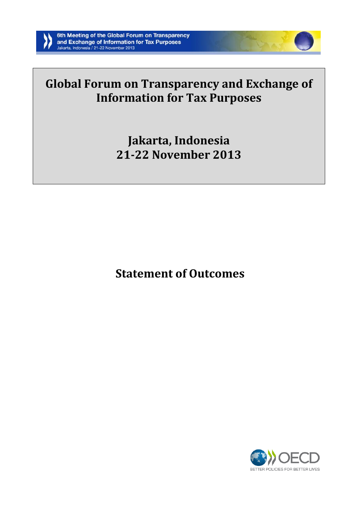

# **Global Forum on Transparency and Exchange of Information for Tax Purposes**

**Jakarta, Indonesia 21-22 November 2013**

**Statement of Outcomes**

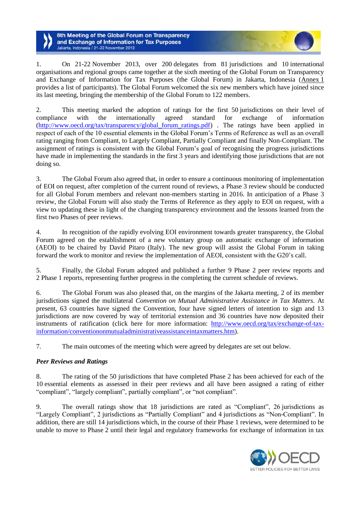6th Meeting of the Global Forum on Transparency and Exchange of Information for Tax Purposes lakarta, Indonesia / 21-22 November 2013

1. On 21-22 November 2013, over 200 delegates from 81 jurisdictions and 10 international organisations and regional groups came together at the sixth meeting of the Global Forum on Transparency and Exchange of Information for Tax Purposes (the Global Forum) in Jakarta, Indonesia (Annex 1 provides a list of participants). The Global Forum welcomed the six new members which have joined since its last meeting, bringing the membership of the Global Forum to 122 members.

2. This meeting marked the adoption of ratings for the first 50 jurisdictions on their level of compliance with the internationally agreed standard for exchange of information (http://www.oecd.org/tax/transparency/global forum ratings.pdf) . The ratings have been applied in respect of each of the 10 essential elements in the Global Forum's Terms of Reference as well as an overall rating ranging from Compliant, to Largely Compliant, Partially Compliant and finally Non-Compliant. The assignment of ratings is consistent with the Global Forum's goal of recognising the progress jurisdictions have made in implementing the standards in the first 3 years and identifying those jurisdictions that are not doing so.

3. The Global Forum also agreed that, in order to ensure a continuous monitoring of implementation of EOI on request, after completion of the current round of reviews, a Phase 3 review should be conducted for all Global Forum members and relevant non-members starting in 2016. In anticipation of a Phase 3 review, the Global Forum will also study the Terms of Reference as they apply to EOI on request, with a view to updating these in light of the changing transparency environment and the lessons learned from the first two Phases of peer reviews.

4. In recognition of the rapidly evolving EOI environment towards greater transparency, the Global Forum agreed on the establishment of a new voluntary group on automatic exchange of information (AEOI) to be chaired by David Pitaro (Italy). The new group will assist the Global Forum in taking forward the work to monitor and review the implementation of AEOI, consistent with the G20's call.

5. Finally, the Global Forum adopted and published a further 9 Phase 2 peer review reports and 2 Phase 1 reports, representing further progress in the completing the current schedule of reviews.

6. The Global Forum was also pleased that, on the margins of the Jakarta meeting, 2 of its member jurisdictions signed the multilateral *Convention on Mutual Administrative Assistance in Tax Matters.* At present, 63 countries have signed the Convention, four have signed letters of intention to sign and 13 jurisdictions are now covered by way of territorial extension and 36 countries have now deposited their instruments of ratification (click here for more information: [http://www.oecd.org/tax/exchange-of-tax](http://www.oecd.org/tax/exchange-of-tax-information/conventiononmutualadministrativeassistanceintaxmatters.htm)[information/conventiononmutualadministrativeassistanceintaxmatters.htm\)](http://www.oecd.org/tax/exchange-of-tax-information/conventiononmutualadministrativeassistanceintaxmatters.htm).

7. The main outcomes of the meeting which were agreed by delegates are set out below.

# *Peer Reviews and Ratings*

8. The rating of the 50 jurisdictions that have completed Phase 2 has been achieved for each of the 10 essential elements as assessed in their peer reviews and all have been assigned a rating of either "compliant", "largely compliant", partially compliant", or "not compliant".

9. The overall ratings show that 18 jurisdictions are rated as "Compliant", 26 jurisdictions as "Largely Compliant", 2 jurisdictions as "Partially Compliant" and 4 jurisdictions as "Non-Compliant". In addition, there are still 14 jurisdictions which, in the course of their Phase 1 reviews, were determined to be unable to move to Phase 2 until their legal and regulatory frameworks for exchange of information in tax

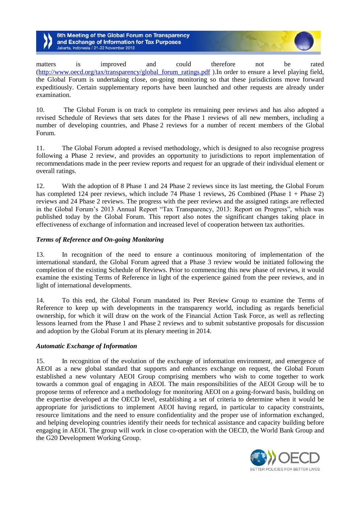6th Meeting of the Global Forum on Transparency and Exchange of Information for Tax Purposes Jakarta, Indonesia / 21-22 November 2013

matters is improved and could therefore not be rated [\(http://www.oecd.org/tax/transparency/global\\_forum\\_ratings.pdf](http://www.oecd.org/tax/transparency/global_forum_ratings.pdf) ).In order to ensure a level playing field, the Global Forum is undertaking close, on-going monitoring so that these jurisdictions move forward expeditiously. Certain supplementary reports have been launched and other requests are already under examination.

10. The Global Forum is on track to complete its remaining peer reviews and has also adopted a revised Schedule of Reviews that sets dates for the Phase 1 reviews of all new members, including a number of developing countries, and Phase 2 reviews for a number of recent members of the Global Forum.

11. The Global Forum adopted a revised methodology, which is designed to also recognise progress following a Phase 2 review, and provides an opportunity to jurisdictions to report implementation of recommendations made in the peer review reports and request for an upgrade of their individual element or overall ratings.

12. With the adoption of 8 Phase 1 and 24 Phase 2 reviews since its last meeting, the Global Forum has completed 124 peer reviews, which include 74 Phase 1 reviews, 26 Combined (Phase 1 + Phase 2) reviews and 24 Phase 2 reviews. The progress with the peer reviews and the assigned ratings are reflected in the Global Forum's 2013 Annual Report "Tax Transparency, 2013: Report on Progress", which was published today by the Global Forum. This report also notes the significant changes taking place in effectiveness of exchange of information and increased level of cooperation between tax authorities.

#### *Terms of Reference and On-going Monitoring*

13. In recognition of the need to ensure a continuous monitoring of implementation of the international standard, the Global Forum agreed that a Phase 3 review would be initiated following the completion of the existing Schedule of Reviews. Prior to commencing this new phase of reviews, it would examine the existing Terms of Reference in light of the experience gained from the peer reviews, and in light of international developments.

14. To this end, the Global Forum mandated its Peer Review Group to examine the Terms of Reference to keep up with developments in the transparency world, including as regards beneficial ownership, for which it will draw on the work of the Financial Action Task Force, as well as reflecting lessons learned from the Phase 1 and Phase 2 reviews and to submit substantive proposals for discussion and adoption by the Global Forum at its plenary meeting in 2014.

#### *Automatic Exchange of Information*

15. In recognition of the evolution of the exchange of information environment, and emergence of AEOI as a new global standard that supports and enhances exchange on request, the Global Forum established a new voluntary AEOI Group comprising members who wish to come together to work towards a common goal of engaging in AEOI. The main responsibilities of the AEOI Group will be to propose terms of reference and a methodology for monitoring AEOI on a going-forward basis, building on the expertise developed at the OECD level, establishing a set of criteria to determine when it would be appropriate for jurisdictions to implement AEOI having regard, in particular to capacity constraints, resource limitations and the need to ensure confidentiality and the proper use of information exchanged, and helping developing countries identify their needs for technical assistance and capacity building before engaging in AEOI. The group will work in close co-operation with the OECD, the World Bank Group and the G20 Development Working Group.

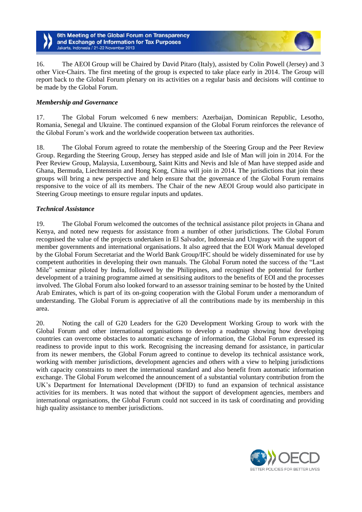6th Meeting of the Global Forum on Transparency and Exchange of Information for Tax Purposes Jakarta, Indonesia / 21-22 November 2013

16. The AEOI Group will be Chaired by David Pitaro (Italy), assisted by Colin Powell (Jersey) and 3 other Vice-Chairs. The first meeting of the group is expected to take place early in 2014. The Group will report back to the Global Forum plenary on its activities on a regular basis and decisions will continue to be made by the Global Forum.

## *Membership and Governance*

17. The Global Forum welcomed 6 new members: Azerbaijan, Dominican Republic, Lesotho, Romania, Senegal and Ukraine. The continued expansion of the Global Forum reinforces the relevance of the Global Forum's work and the worldwide cooperation between tax authorities.

18. The Global Forum agreed to rotate the membership of the Steering Group and the Peer Review Group. Regarding the Steering Group, Jersey has stepped aside and Isle of Man will join in 2014. For the Peer Review Group, Malaysia, Luxembourg, Saint Kitts and Nevis and Isle of Man have stepped aside and Ghana, Bermuda, Liechtenstein and Hong Kong, China will join in 2014. The jurisdictions that join these groups will bring a new perspective and help ensure that the governance of the Global Forum remains responsive to the voice of all its members. The Chair of the new AEOI Group would also participate in Steering Group meetings to ensure regular inputs and updates.

#### *Technical Assistance*

19. The Global Forum welcomed the outcomes of the technical assistance pilot projects in Ghana and Kenya, and noted new requests for assistance from a number of other jurisdictions. The Global Forum recognised the value of the projects undertaken in El Salvador, Indonesia and Uruguay with the support of member governments and international organisations. It also agreed that the EOI Work Manual developed by the Global Forum Secretariat and the World Bank Group/IFC should be widely disseminated for use by competent authorities in developing their own manuals. The Global Forum noted the success of the "Last Mile" seminar piloted by India, followed by the Philippines, and recognised the potential for further development of a training programme aimed at sensitising auditors to the benefits of EOI and the processes involved. The Global Forum also looked forward to an assessor training seminar to be hosted by the United Arab Emirates, which is part of its on-going cooperation with the Global Forum under a memorandum of understanding. The Global Forum is appreciative of all the contributions made by its membership in this area.

20. Noting the call of G20 Leaders for the G20 Development Working Group to work with the Global Forum and other international organisations to develop a roadmap showing how developing countries can overcome obstacles to automatic exchange of information, the Global Forum expressed its readiness to provide input to this work. Recognising the increasing demand for assistance, in particular from its newer members, the Global Forum agreed to continue to develop its technical assistance work, working with member jurisdictions, development agencies and others with a view to helping jurisdictions with capacity constraints to meet the international standard and also benefit from automatic information exchange. The Global Forum welcomed the announcement of a substantial voluntary contribution from the UK's Department for International Development (DFID) to fund an expansion of technical assistance activities for its members. It was noted that without the support of development agencies, members and international organisations, the Global Forum could not succeed in its task of coordinating and providing high quality assistance to member jurisdictions.

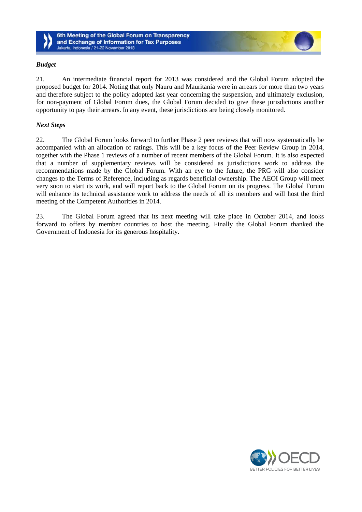

6th Meeting of the Global Forum on Transparency and Exchange of Information for Tax Purposes Jakarta, Indonesia / 21-22 November 2013

## *Budget*

21. An intermediate financial report for 2013 was considered and the Global Forum adopted the proposed budget for 2014. Noting that only Nauru and Mauritania were in arrears for more than two years and therefore subject to the policy adopted last year concerning the suspension, and ultimately exclusion, for non-payment of Global Forum dues, the Global Forum decided to give these jurisdictions another opportunity to pay their arrears. In any event, these jurisdictions are being closely monitored.

#### *Next Steps*

22. The Global Forum looks forward to further Phase 2 peer reviews that will now systematically be accompanied with an allocation of ratings. This will be a key focus of the Peer Review Group in 2014, together with the Phase 1 reviews of a number of recent members of the Global Forum. It is also expected that a number of supplementary reviews will be considered as jurisdictions work to address the recommendations made by the Global Forum. With an eye to the future, the PRG will also consider changes to the Terms of Reference, including as regards beneficial ownership. The AEOI Group will meet very soon to start its work, and will report back to the Global Forum on its progress. The Global Forum will enhance its technical assistance work to address the needs of all its members and will host the third meeting of the Competent Authorities in 2014.

23. The Global Forum agreed that its next meeting will take place in October 2014, and looks forward to offers by member countries to host the meeting. Finally the Global Forum thanked the Government of Indonesia for its generous hospitality.